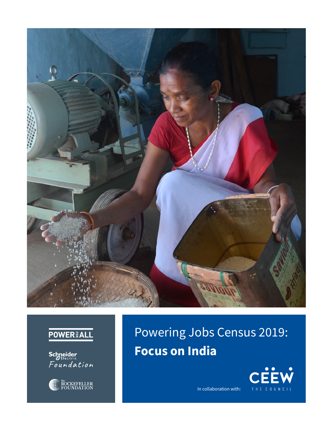

## **POWER & ALL**

**Schneider**<br>Foundation



Powering Jobs Census 2019: **Focus on India**



In collaboration with: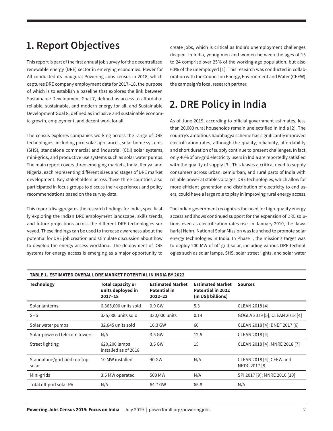# **1. Report Objectives**

This report is part of the first annual job survey for the decentralized renewable energy (DRE) sector in emerging economies. Power for All conducted its inaugural Powering Jobs census in 2018, which captures DRE company employment data for 2017–18, the purpose of which is to establish a baseline that explores the link between Sustainable Development Goal 7, defined as access to affordable, reliable, sustainable, and modern energy for all, and Sustainable Development Goal 8, defined as inclusive and sustainable economic growth, employment, and decent work for all.

The census explores companies working across the range of DRE technologies, including pico-solar appliances, solar home systems (SHS), standalone commercial and industrial (C&I) solar systems, mini-grids, and productive use systems such as solar water pumps. The main report covers three emerging markets, India, Kenya, and Nigeria, each representing different sizes and stages of DRE market development. Key stakeholders across these three countries also participated in focus groups to discuss their experiences and policy recommendations based on the survey data.

This report disaggregates the research findings for India, specifically exploring the Indian DRE employment landscape, skills trends, and future projections across the different DRE technologies surveyed. These findings can be used to increase awareness about the potential for DRE job creation and stimulate discussion about how to develop the energy access workforce. The deployment of DRE systems for energy access is emerging as a major opportunity to

create jobs, which is critical as India's unemployment challenges deepen. In India, young men and women between the ages of 15 to 24 comprise over 25% of the working-age population, but also 60% of the unemployed [1]. This research was conducted in collaboration with the Council on Energy, Environment and Water (CEEW), the campaign's local research partner.

# **2. DRE Policy in India**

As of June 2019, according to official government estimates, less than 20,000 rural households remain unelectrified in India [2]. The country's ambitious Saubhagya scheme has significantly improved electrification rates, although the quality, reliability, affordability, and short duration of supply continue to present challenges. In fact, only 40% of on-grid electricity users in India are reportedly satisfied with the quality of supply [3]. This leaves a critical need to supply consumers across urban, semiurban, and rural parts of India with reliable power at stable voltages. DRE technologies, which allow for more efficient generation and distribution of electricity to end users, could have a large role to play in improving rural energy access.

The Indian government recognizes the need for high-quality energy access and shows continued support for the expansion of DRE solutions even as electrification rates rise. In January 2010, the Jawaharlal Nehru National Solar Mission was launched to promote solar energy technologies in India. In Phase I, the mission's target was to deploy 200 MW of off-grid solar, including various DRE technologies such as solar lamps, SHS, solar street lights, and solar water

| TABLE 1. ESTIMATED OVERALL DRE MARKET POTENTIAL IN INDIA BY 2022 |                                                              |                                                               |                                                                           |                                           |  |  |  |  |
|------------------------------------------------------------------|--------------------------------------------------------------|---------------------------------------------------------------|---------------------------------------------------------------------------|-------------------------------------------|--|--|--|--|
| <b>Technology</b>                                                | <b>Total capacity or</b><br>units deployed in<br>$2017 - 18$ | <b>Estimated Market</b><br><b>Potential in</b><br>$2022 - 23$ | <b>Estimated Market</b><br><b>Potential in 2022</b><br>(in US\$ billions) | <b>Sources</b>                            |  |  |  |  |
| Solar lanterns                                                   | 6,365,000 units sold                                         | 0.9 GW                                                        | 5.3                                                                       | CLEAN 2018 [4]                            |  |  |  |  |
| <b>SHS</b>                                                       | 335,000 units sold                                           | 320,000 units                                                 | 0.14                                                                      | GOGLA 2019 [5]; CLEAN 2018 [4]            |  |  |  |  |
| Solar water pumps                                                | 32,645 units sold                                            | 16.3 GW                                                       | 60                                                                        | CLEAN 2018 [4]; BNEF 2017 [6]             |  |  |  |  |
| Solar-powered telecom towers                                     | N/A                                                          | 3.5 GW                                                        | 12.5                                                                      | CLEAN 2018 [4]                            |  |  |  |  |
| Street lighting                                                  | 620,200 lamps<br>installed as of 2018                        | 3.5 GW                                                        | 15                                                                        | CLEAN 2018 [4]; MNRE 2018 [7]             |  |  |  |  |
| Standalone/grid-tied rooftop<br>solar                            | 10 MW installed                                              | 40 GW                                                         | N/A                                                                       | CLEAN 2018 [4]; CEEW and<br>NRDC 2017 [8] |  |  |  |  |
| Mini-grids                                                       | 3.5 MW operated                                              | 500 MW                                                        | N/A                                                                       | SPI 2017 [9]; MNRE 2016 [10]              |  |  |  |  |
| Total off-grid solar PV                                          | N/A                                                          | 64.7 GW                                                       | 65.8                                                                      | N/A                                       |  |  |  |  |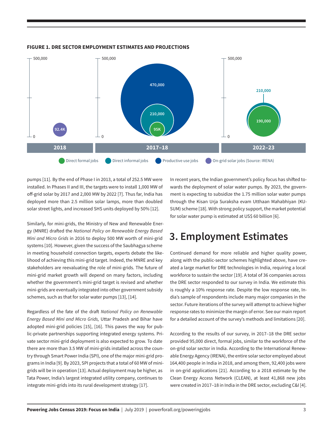

#### **FIGURE 1. DRE SECTOR EMPLOYMENT ESTIMATES AND PROJECTIONS**

pumps [11]. By the end of Phase I in 2013, a total of 252.5 MW were installed. In Phases II and III, the targets were to install 1,000 MW of off-grid solar by 2017 and 2,000 MW by 2022 [7]. Thus far, India has deployed more than 2.5 million solar lamps, more than doubled solar street lights, and increased SHS units deployed by 50% [12].

Similarly, for mini-grids, the Ministry of New and Renewable Energy (MNRE) drafted the *National Policy on Renewable Energy Based Mini and Micro Grids* in 2016 to deploy 500 MW worth of mini-grid systems [10]. However, given the success of the Saubhagya scheme in meeting household connection targets, experts debate the likelihood of achieving this mini-grid target. Indeed, the MNRE and key stakeholders are reevaluating the role of mini-grids. The future of mini-grid market growth will depend on many factors, including whether the government's mini-grid target is revised and whether mini-grids are eventually integrated into other government subsidy schemes, such as that for solar water pumps [13], [14].

Regardless of the fate of the draft *National Policy on Renewable Energy Based Mini and Micro Grids,* Uttar Pradesh and Bihar have adopted mini-grid policies [15], [16]. This paves the way for public-private partnerships supporting integrated energy systems. Private sector mini-grid deployment is also expected to grow. To date there are more than 3.5 MW of mini-grids installed across the country through Smart Power India (SPI), one of the major mini-grid programs in India [9]. By 2023, SPI projects that a total of 60 MW of minigrids will be in operation [13]. Actual deployment may be higher, as Tata Power, India's largest integrated utility company, continues to integrate mini-grids into its rural development strategy [17].

In recent years, the Indian government's policy focus has shifted towards the deployment of solar water pumps. By 2023, the government is expecting to subsidize the 1.75 million solar water pumps through the Kisan Urja Suraksha evam Utthaan Mahabhiyan (KU-SUM) scheme [18]. With strong policy support, the market potential for solar water pump is estimated at US\$ 60 billion [6].

## **3. Employment Estimates**

Continued demand for more reliable and higher quality power, along with the public-sector schemes highlighted above, have created a large market for DRE technologies in India, requiring a local workforce to sustain the sector [19]. A total of 36 companies across the DRE sector responded to our survey in India. We estimate this is roughly a 10% response rate. Despite the low response rate, India's sample of respondents include many major companies in the sector. Future iterations of the survey will attempt to achieve higher response rates to minimize the margin of error. See our main report for a detailed account of the survey's methods and limitations [20].

According to the results of our survey, in 2017–18 the DRE sector provided 95,000 direct, formal jobs, similar to the workforce of the on-grid solar sector in India. According to the International Renewable Energy Agency (IRENA), the entire solar sector employed about 164,400 people in India in 2018, and among them, 92,400 jobs were in on-grid applications [21]. According to a 2018 estimate by the Clean Energy Access Network (CLEAN), at least 41,868 new jobs were created in 2017–18 in India in the DRE sector, excluding C&I [4].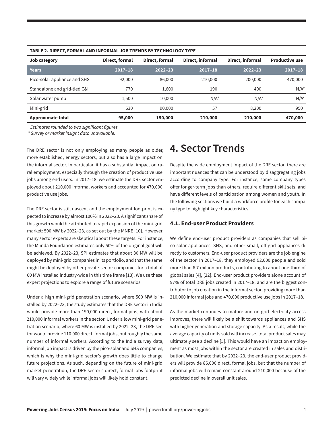| Job category                 | Direct, formal | Direct, formal | Direct, informal | Direct, informal | <b>Productive use</b> |
|------------------------------|----------------|----------------|------------------|------------------|-----------------------|
| <b>Years</b>                 | $2017 - 18$    | $2022 - 23$    | $2017 - 18$      | $2022 - 23$      | $2017 - 18$           |
| Pico-solar appliance and SHS | 92,000         | 86,000         | 210,000          | 200,000          | 470,000               |
| Standalone and grid-tied C&I | 770            | 1.600          | 190              | 400              | $N/A^*$               |
| Solar water pump             | 1.500          | 10.000         | $N/A^*$          | $N/A^*$          | $N/A^*$               |
| Mini-grid                    | 630            | 90,000         | 57               | 8.200            | 950                   |
| <b>Approximate total</b>     | 95,000         | 190,000        | 210,000          | 210,000          | 470,000               |

### **TABLE 2. DIRECT, FORMAL AND INFORMAL JOB TRENDS BY TECHNOLOGY TYPE**

*Estimates rounded to two significant figures.*

*\* Survey or market insight data unavailable.*

The DRE sector is not only employing as many people as older, more established, energy sectors, but also has a large impact on the informal sector. In particular, it has a substantial impact on rural employment, especially through the creation of productive use jobs among end users. In 2017–18, we estimate the DRE sector employed about 210,000 informal workers and accounted for 470,000 productive use jobs.

The DRE sector is still nascent and the employment footprint is expected to increase by almost 100% in 2022–23. A significant share of this growth would be attributed to rapid expansion of the mini-grid market: 500 MW by 2022–23, as set out by the MNRE [10]. However, many sector experts are skeptical about these targets. For instance, the Mlinda Foundation estimates only 50% of the original goal will be achieved. By 2022–23, SPI estimates that about 30 MW will be deployed by mini-grid companies in its portfolio, and that the same might be deployed by other private-sector companies for a total of 60 MW installed industry-wide in this time frame [13]. We use these expert projections to explore a range of future scenarios.

Under a high mini-grid penetration scenario, where 500 MW is installed by 2022–23, the study estimates that the DRE sector in India would provide more than 190,000 direct, formal jobs, with about 210,000 informal workers in the sector. Under a low mini-grid penetration scenario, where 60 MW is installed by 2022–23, the DRE sector would provide 110,000 direct, formal jobs, but roughly the same number of informal workers. According to the India survey data, informal job impact is driven by the pico-solar and SHS companies, which is why the mini-grid sector's growth does little to change future projections. As such, depending on the future of mini-grid market penetration, the DRE sector's direct, formal jobs footprint will vary widely while informal jobs will likely hold constant.

## **4. Sector Trends**

Despite the wide employment impact of the DRE sector, there are important nuances that can be understood by disaggregating jobs according to company type. For instance, some company types offer longer-term jobs than others, require different skill sets, and have different levels of participation among women and youth. In the following sections we build a workforce profile for each company type to highlight key characteristics.

## **4.1. End-user Product Providers**

We define end-user product providers as companies that sell pico-solar appliances, SHS, and other small, off-grid appliances directly to customers. End-user product providers are the job engine of the sector. In 2017–18, they employed 92,000 people and sold more than 6.7 million products, contributing to about one-third of global sales [4], [22]. End-user product providers alone account of 97% of total DRE jobs created in 2017–18, and are the biggest contributor to job creation in the informal sector, providing more than 210,000 informal jobs and 470,000 productive use jobs in 2017–18.

As the market continues to mature and on-grid electricity access improves, there will likely be a shift towards appliances and SHS with higher generation and storage capacity. As a result, while the average capacity of units sold will increase, total product sales may ultimately see a decline [5]. This would have an impact on employment as most jobs within the sector are created in sales and distribution. We estimate that by 2022–23, the end-user product providers will provide 86,000 direct, formal jobs, but that the number of informal jobs will remain constant around 210,000 because of the predicted decline in overall unit sales.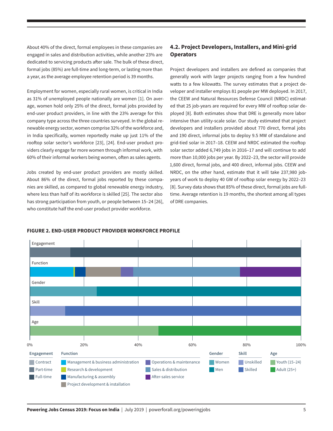About 40% of the direct, formal employees in these companies are engaged in sales and distribution activities, while another 23% are dedicated to servicing products after sale. The bulk of these direct, formal jobs (85%) are full-time and long-term, or lasting more than a year, as the average employee retention period is 39 months.

Employment for women, especially rural women, is critical in India as 31% of unemployed people nationally are women [1]. On average, women hold only 25% of the direct, formal jobs provided by end-user product providers, in line with the 23% average for this company type across the three countries surveyed. In the global renewable energy sector, women comprise 32% of the workforce and, in India specifically, women reportedly make up just 11% of the rooftop solar sector's workforce [23], [24]. End-user product providers clearly engage far more women through informal work, with 60% of their informal workers being women, often as sales agents.

Jobs created by end-user product providers are mostly skilled. About 86% of the direct, formal jobs reported by these companies are skilled, as compared to global renewable energy industry, where less than half of its workforce is skilled [25]. The sector also has strong participation from youth, or people between 15–24 [26], who constitute half the end-user product provider workforce.

## **4.2. Project Developers, Installers, and Mini-grid Operators**

Project developers and installers are defined as companies that generally work with larger projects ranging from a few hundred watts to a few kilowatts. The survey estimates that a project developer and installer employs 81 people per MW deployed. In 2017, the CEEW and Natural Resources Defense Council (NRDC) estimated that 25 job-years are required for every MW of rooftop solar deployed [8]. Both estimates show that DRE is generally more labor intensive than utility-scale solar. Our study estimated that project developers and installers provided about 770 direct, formal jobs and 190 direct, informal jobs to deploy 9.5 MW of standalone and grid-tied solar in 2017–18. CEEW and NRDC estimated the rooftop solar sector added 6,749 jobs in 2016–17 and will continue to add more than 10,000 jobs per year. By 2022–23, the sector will provide 1,600 direct, formal jobs, and 400 direct, informal jobs. CEEW and NRDC, on the other hand, estimate that it will take 237,980 jobyears of work to deploy 40 GW of rooftop solar energy by 2022–23 [8]. Survey data shows that 85% of these direct, formal jobs are fulltime. Average retention is 19 months, the shortest among all types of DRE companies.



### **FIGURE 2. END-USER PRODUCT PROVIDER WORKFORCE PROFILE**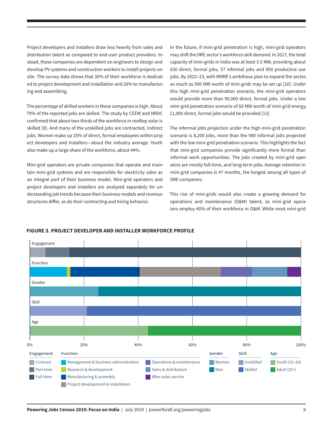Project developers and installers draw less heavily from sales and distribution talent as compared to end-user product providers. Instead, these companies are dependent on engineers to design and develop PV systems and construction workers to install projects on site. The survey data shows that 30% of their workforce is dedicated to project development and installation and 26% to manufacturing and assembling.

The percentage of skilled workers in these companies is high. About 79% of the reported jobs are skilled. The study by CEEW and NRDC confirmed that about two-thirds of the workforce in rooftop solar is skilled [8]. And many of the unskilled jobs are contracted, indirect jobs. Women make up 25% of direct, formal employees within project developers and installers—about the industry average. Youth also make up a large share of the workforce, about 44%.

Mini-grid operators are private companies that operate and maintain mini-grid systems and are responsible for electricity sales as an integral part of their business model. Mini-grid operators and project developers and installers are analyzed separately for understanding job trends because their business models and revenue structures differ, as do their contracting and hiring behavior.

In the future, if mini-grid penetration is high, mini-grid operators may shift the DRE sector's workforce skill demand. In 2017, the total capacity of mini-grids in India was at least 3.5 MW, providing about 630 direct, formal jobs, 57 informal jobs and 950 productive use jobs. By 2022–23, with MNRE's ambitious plan to expand the sector, as much as 500 MW worth of mini-grids may be set up [10]. Under this high mini-grid penetration scenario, the mini-grid operators would provide more than 90,000 direct, formal jobs. Under a low mini-grid penetration scenario of 60 MW worth of mini-grid energy, 11,000 direct, formal jobs would be provided [13].

The informal jobs projection under the high mini-grid penetration scenario is 8,200 jobs, more than the 980 informal jobs projected with the low mini-grid penetration scenario. This highlights the fact that mini-grid companies provide significantly more formal than informal work opportunities. The jobs created by mini-grid operators are mostly full-time, and long-term jobs. Average retention in mini-grid companies is 47 months, the longest among all types of DRE companies.

This rise of mini-grids would also create a growing demand for operations and maintenance (O&M) talent, as mini-grid operators employ 40% of their workforce in O&M. While most mini-grid



### **FIGURE 3. PROJECT DEVELOPER AND INSTALLER WORKFORCE PROFILE**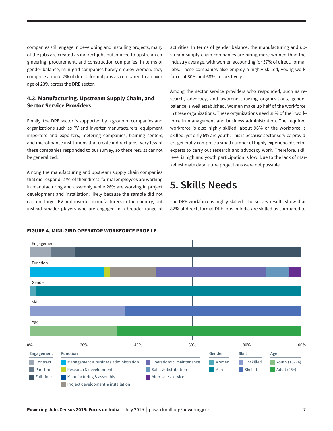companies still engage in developing and installing projects, many of the jobs are created as indirect jobs outsourced to upstream engineering, procurement, and construction companies. In terms of gender balance, mini-grid companies barely employ women: they comprise a mere 2% of direct, formal jobs as compared to an average of 23% across the DRE sector.

## **4.3. Manufacturing, Upstream Supply Chain, and Sector Service Providers**

Finally, the DRE sector is supported by a group of companies and organizations such as PV and inverter manufacturers, equipment importers and exporters, metering companies, training centers, and microfinance institutions that create indirect jobs. Very few of these companies responded to our survey, so these results cannot be generalized.

Among the manufacturing and upstream supply chain companies that did respond, 27% of their direct, formal employees are working in manufacturing and assembly while 26% are working in project development and installation, likely because the sample did not capture larger PV and inverter manufacturers in the country, but instead smaller players who are engaged in a broader range of activities. In terms of gender balance, the manufacturing and upstream supply chain companies are hiring more women than the industry average, with women accounting for 37% of direct, formal jobs. These companies also employ a highly skilled, young workforce, at 80% and 68%, respectively.

Among the sector service providers who responded, such as research, advocacy, and awareness-raising organizations, gender balance is well established. Women make up half of the workforce in these organizations. These organizations need 38% of their workforce in management and business administration. The required workforce is also highly skilled: about 96% of the workforce is skilled, yet only 6% are youth. This is because sector service providers generally comprise a small number of highly experienced sector experts to carry out research and advocacy work. Therefore, skill level is high and youth participation is low. Due to the lack of market estimate data future projections were not possible.

# **5. Skills Needs**

The DRE workforce is highly skilled. The survey results show that 82% of direct, formal DRE jobs in India are skilled as compared to



### **FIGURE 4. MINI-GRID OPERATOR WORKFORCE PROFILE**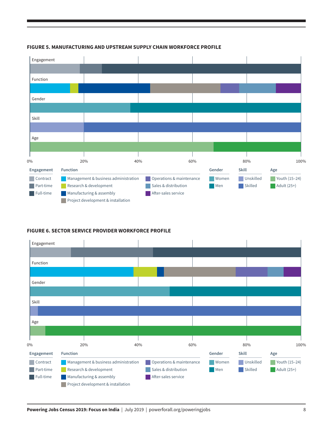

## **FIGURE 5. MANUFACTURING AND UPSTREAM SUPPLY CHAIN WORKFORCE PROFILE**

### **FIGURE 6. SECTOR SERVICE PROVIDER WORKFORCE PROFILE**

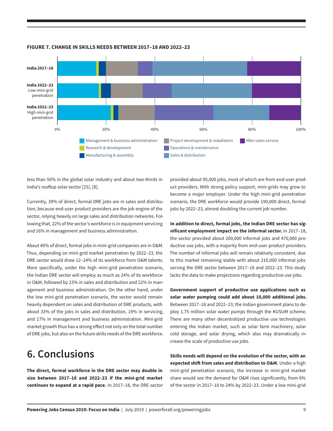

#### **FIGURE 7. CHANGE IN SKILLS NEEDS BETWEEN 2017–18 AND 2022–23**

less than 50% in the global solar industry and about two-thirds in India's rooftop solar sector [25], [8].

Currently, 39% of direct, formal DRE jobs are in sales and distribution, because end-user product providers are the job engine of the sector, relying heavily on large sales and distribution networks. Following that, 22% of the sector's workforce is in equipment servicing and 16% in management and business administration.

About 40% of direct, formal jobs in mini-grid companies are in O&M. Thus, depending on mini-grid market penetration by 2022–23, the DRE sector would draw 12–24% of its workforce from O&M talents. More specifically, under the high mini-grid penetration scenario, the Indian DRE sector will employ as much as 24% of its workforce in O&M, followed by 23% in sales and distribution and 22% in management and business administration. On the other hand, under the low mini-grid penetration scenario, the sector would remain heavily dependent on sales and distribution of DRE products, with about 33% of the jobs in sales and distribution, 19% in servicing, and 17% in management and business administration. Mini-grid market growth thus has a strong effect not only on the total number of DRE jobs, but also on the future skills needs of the DRE workforce.

## **6. Conclusions**

**The direct, formal workforce in the DRE sector may double in size between 2017–18 and 2022–23 if the mini-grid market continues to expand at a rapid pace.** In 2017–18, the DRE sector provided about 95,000 jobs, most of which are from end-user product providers. With strong policy support, mini-grids may grow to become a major employer. Under the high mini-grid penetration scenario, the DRE workforce would provide 190,000 direct, formal jobs by 2022–23, almost doubling the current job number.

**In addition to direct, formal jobs, the Indian DRE sector has significant employment impact on the informal sector.** In 2017–18, the sector provided about 200,000 informal jobs and 470,000 productive use jobs, with a majority from end-user product providers. The number of informal jobs will remain relatively consistent, due to this market remaining stable with about 210,000 informal jobs serving the DRE sector between 2017–18 and 2022–23. This study lacks the data to make projections regarding productive use jobs.

**Government support of productive use applications such as solar water pumping could add about 10,000 additional jobs.** Between 2017–18 and 2022–23, the Indian government plans to deploy 1.75 million solar water pumps through the KUSUM scheme. There are many other decentralized productive use technologies entering the Indian market, such as solar farm machinery, solar cold storage, and solar drying, which also may dramatically increase the scale of productive use jobs.

**Skills needs will depend on the evolution of the sector, with an expected shift from sales and distribution to O&M.** Under a high mini-grid penetration scenario, the increase in mini-grid market share would see the demand for O&M rises significantly, from 6% of the sector in 2017–18 to 24% by 2022–23. Under a low mini-grid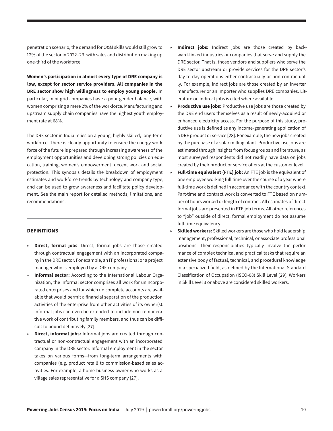penetration scenario, the demand for O&M skills would still grow to 12% of the sector in 2022–23, with sales and distribution making up one-third of the workforce.

**Women's participation in almost every type of DRE company is low, except for sector service providers. All companies in the DRE sector show high willingness to employ young people.** In particular, mini-grid companies have a poor gender balance, with women comprising a mere 2% of the workforce. Manufacturing and upstream supply chain companies have the highest youth employment rate at 68%.

The DRE sector in India relies on a young, highly skilled, long-term workforce. There is clearly opportunity to ensure the energy workforce of the future is prepared through increasing awareness of the employment opportunities and developing strong policies on education, training, women's empowerment, decent work and social protection. This synopsis details the breakdown of employment estimates and workforce trends by technology and company type, and can be used to grow awareness and facilitate policy development. See the main report for detailed methods, limitations, and recommendations.

## **DEFINITIONS**

l

- **Direct, formal jobs:** Direct, formal jobs are those created through contractual engagement with an incorporated company in the DRE sector. For example, an IT professional or a project manager who is employed by a DRE company.
- **Informal sector:** According to the International Labour Organization, the informal sector comprises all work for unincorporated enterprises and for which no complete accounts are available that would permit a financial separation of the production activities of the enterprise from other activities of its owner(s). Informal jobs can even be extended to include non-remunerative work of contributing family members, and thus can be difficult to bound definitively [27].
- **Direct, informal jobs:** Informal jobs are created through contractual or non-contractual engagement with an incorporated company in the DRE sector. Informal employment in the sector takes on various forms—from long-term arrangements with companies (e.g. product retail) to commission-based sales activities. For example, a home business owner who works as a village sales representative for a SHS company [27].
- **Indirect jobs:** Indirect jobs are those created by backward-linked industries or companies that serve and supply the DRE sector. That is, those vendors and suppliers who serve the DRE sector upstream or provide services for the DRE sector's day-to-day operations either contractually or non-contractually. For example, indirect jobs are those created by an inverter manufacturer or an importer who supplies DRE companies. Literature on indirect jobs is cited where available.
- **Productive use jobs:** Productive use jobs are those created by the DRE end users themselves as a result of newly-acquired or enhanced electricity access. For the purpose of this study, productive use is defined as any income-generating application of a DRE product or service [28]. For example, the new jobs created by the purchase of a solar milling plant. Productive use jobs are estimated through insights from focus groups and literature, as most surveyed respondents did not readily have data on jobs created by their product or service offers at the customer level.
- » **Full-time equivalent (FTE) job:** An FTE job is the equivalent of one employee working full time over the course of a year where full-time work is defined in accordance with the country context. Part-time and contract work is converted to FTE based on number of hours worked or length of contract. All estimates of direct, formal jobs are presented in FTE job terms. All other references to "job" outside of direct, formal employment do not assume full-time equivalency.
- » **Skilled workers:** Skilled workers are those who hold leadership, management, professional, technical, or associate professional positions. Their responsibilities typically involve the performance of complex technical and practical tasks that require an extensive body of factual, technical, and procedural knowledge in a specialized field, as defined by the International Standard Classification of Occupation (ISCO-08) Skill Level [29]. Workers in Skill Level 3 or above are considered skilled workers.